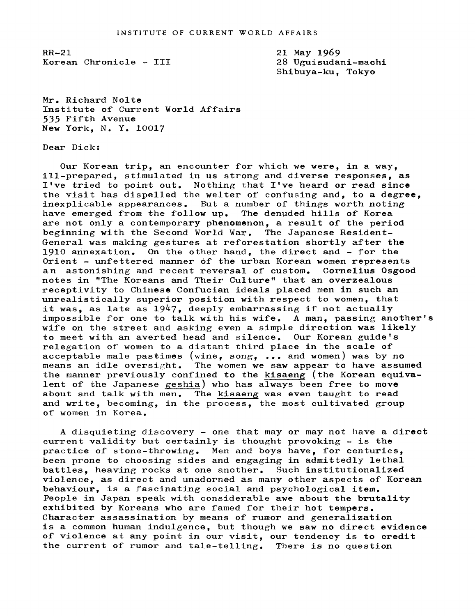RR-21 Korean Chronicle - III 21 May 1969 28 Uguisudani-machi Shibuya-ku, Tokyo

Mr. Richard Nolte Institute of Current World Affairs 535 Fifth Avenue New York, N. Y. 10017

Dear Dick:

Our Korean trip, an encounter for which we were, in a way, ill-prepared, stimulated in us strong and diverse responses, as I've tried to point out. Nothing that I've heard or read since the visit has dispelled the welter of confusing and, to a degree, inexplicable appearances. But a number of things worth noting have emerged from the follow up. The denuded hills of Korea are not only a contemporary phenomenon, a result of the period beginning with the Second World War. The Japanese Resident-General was making gestures at reforestation shortly after the 1910 annexation. On the other hand, the direct and  $-$  for the Orient - unfettered manner of the urban Korean women represents an astonishing and recent reversal of custom. Cornelius Osgood notes in "The Koreans and Their Culture" that an overzealous receptivity to Chinese Confucian ideals placed men in such an unrealistically superior position with respect to women, that it was, as late as  $1947$ , deeply embarrassing if not actually impossible for one to talk with his wife. A man, passing another's wife on the street and asking even a simple direction was likely to meet with an averted head and silence. Our Korean guide's relegation of women to a distant third place in the scale of acceptable male pastimes (wine, song, ... and women) was by no<br>means an idle oversight. The women we saw appear to have assum The women we saw appear to have assumed the manner previously confined to the kisaeng (the Korean equivalent of the Japanese geshia) who has always been free to move about and talk with men. The kisaeng was even taught to read and write, becoming, in the process, the most cultivated group of women in Korea.

A disquieting discovery - one that may or may not have a direct current validity but certainly is thought provoking- is the practice of stone-throwing. Men and boys have, for centuries, been prone to choosing sides and engaging in admittedly lethal battles, heaving rocks at one another. Such institutionalized violence, as direct and unadorned as many other aspects of Korean behaviour, is a fascinating social and psychological item. People in Japan speak with considerable awe about the brutality exhibited by Koreans who are famed for their hot tempers. Character assassination by means of rumor and generalization is a common human indulgence, but though we saw no direct evidence of violence at any point in our visit, our tendency is to credit the current of rumor and tale-telling. There is no question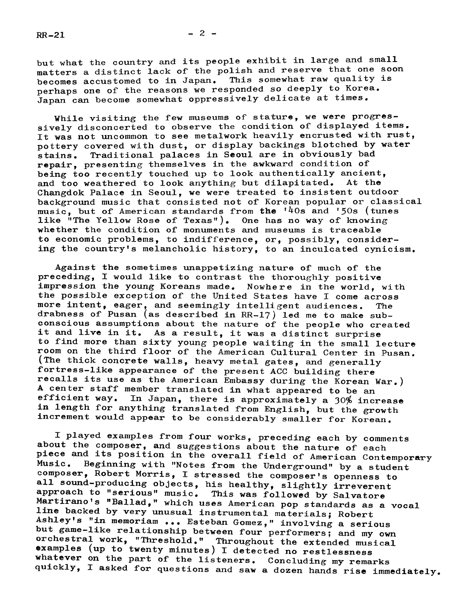but what the country and its people exhibit in large and small matters a distinct lack of the polish and reserve that one soon<br>becomes accustomed to in Japan. This somewhat raw quality is becomes accustomed to in Japan. perhaps one of the reasons we responded so deeply to Korea. Japan can become somewhat oppressively delicate at times.

While visiting the few museums of stature, we were progressively disconcerted to observe the condition of displayed items. It was not uncommon to see metalwork heavily encrusted with rust, pottery covered with dust, or display backings blotched by water<br>stains. Traditional palaces in Seoul are in obviously bad Traditional palaces in Seoul are in obviously bad repair, presenting themselves in the awkward condition of being too recently touched up to look authentically ancient,<br>and too weathered to look anything but dilapitated. At the and too weathered to look anything but dilapitated. Changdok Palace in Seoul, we were treated to insistent outdoor background music that consisted not of Korean popular or classical music, but of American standards from the '40s and '50s (tunes like "The Yellow Rose of Texas"). One has no way of knowing whether the condition of monuments and museums is traceable to economic problems, to indifference, or, possibly, considering the country's melancholic history, to an inculcated cynicism.

Against the sometimes unappetizing nature of much of the preceding, I would like to contrast the thoroughly positive impression the young Koreans made. Nowhere in the world, with the possible exception of the United States have I come across more intent, eager, and seemingly intelligent audiences. The drabness of Pusan (as described in  $RR-17$ ) led me to make subconscious assumptions about the nature of the people who created it and live in it. As a result, it was a distinct surprise to find more than sixty young people waiting in the small lecture room on the third floor of the American Cultural Center in Pusan. (The thick concrete walls, heavy metal gates, and generally fortress-like appearance of the present ACC building there recalls its use as the American Embassy during the Korean War.) A center staff member translated in what appeared to be an efficient way. In Japan, there is approximately a 30% inc In Japan, there is approximately a 30% increase in length for anything translated from English, but the growth increment would appear to be considerably smaller for Korean.

I played examples from four works, preceding each by comments about the composer, and suggestions about the nature of each piece and its position in the overall field of American Contemporary<br>Music. Beginning with "Notes from the Underground" by a student Music. Beginning with "Notes from the Underground" by a student<br>composer, Robert Morris, I stressed the composer's openness to all sound-producing objects, his healthy, slightly irreverent<br>approach to "serious" music. This was followed by Salvatore<br>Martirano's "Ballad," which uses American pop standards as a vocal<br>line backed by very unusual instr examples (up to twenty minutes) I detected no restlessness<br>whatever on the part of the listeners. Concluding my remarks<br>quickly, I asked for questions and saw a dozen hands rise immediately.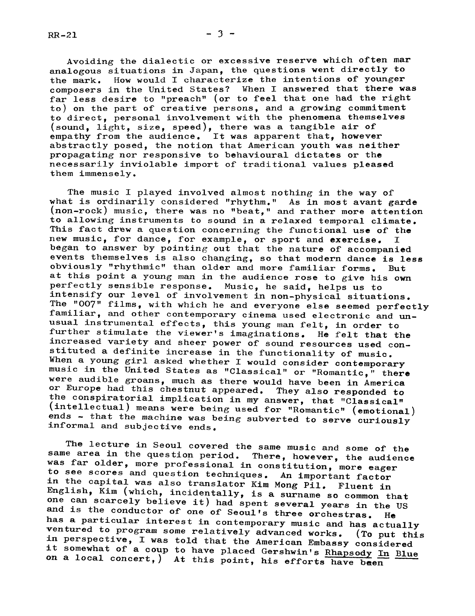$RR-21$ 

Avoiding the dialectic or excessive reserve which often mar analogous situations in Japan, the questions went directly to the mark. How would I characterize the intentions of younger composers in the United States? When I answered that there was far less desire to "preach" (or to feel that one had the right to) on the part of creative persons, and a growing commitment to direct, personal involvement with the phenomena themselves (sound, light, size, speed), there was a tangible air of empathy from the audience. It was apparent that, however abstractly posed, the notion that American youth was neither propagating nor responsive to behavioural dictates or the necessarily inviolable import of traditional values pleased them immensely.

The music I played involved almost nothing in the way of what is ordinarily considered "rhythm." As in most avant garde (non-rock) music, there was no "beat," and rather more attention to allowing instruments to sound in a relaxed temporal climate. This fact drew a question concerning the functional use of the new music, for dance, for example, or sport and exercise. I began to answer by pointing out that the nature of accompanied events themselves is also changing, so that modern dance is less obviously "rhythmic" than older and more familiar forms. But at this point a young man in the audience rose to give his own perfectly sensible response. Music, he said, helps us to intensify our level of involvement in non-physical situations. The "007" films, with which he and everyone else seemed perfectly familiar, and other contemporary cinema used electronic and unusual instrumental effects, this young man felt, in order to further stimulate the viewer's imaginations. He felt that the increased variety and sheer power of sound resources used con-<br>stituted a definite increase in the functionality of music. When a young girl asked whether I would consider contemporary music in the United States as "Classical" or "Romantic," there were audible groans, much as there would have been in America<br>or Europe had this chestnut appeared. They also responded to the conspiratorial implication in my answer, that "Classical" (intellectual) means were being used for "Romantic" (emotional) ends - that the machine was being subverted to serve curiously informal and subjective ends.

The lecture in Seoul covered the same music and some of the same area in the question period. There, however, the audience was far older, more professional in constitution, more eager to see scores and question techniques. An important factor<br>in the capital was also translator Kim Mong Pil. Fluent in English, Kim (which, incidentally, is a surname so common that one English, Kim (which, incidentally, is a surname so common that<br>one can scarcely believe it) had spent several years in the US<br>and is the conductor of one of Seoul's three orchestras. He<br>has a particular interest in contemp